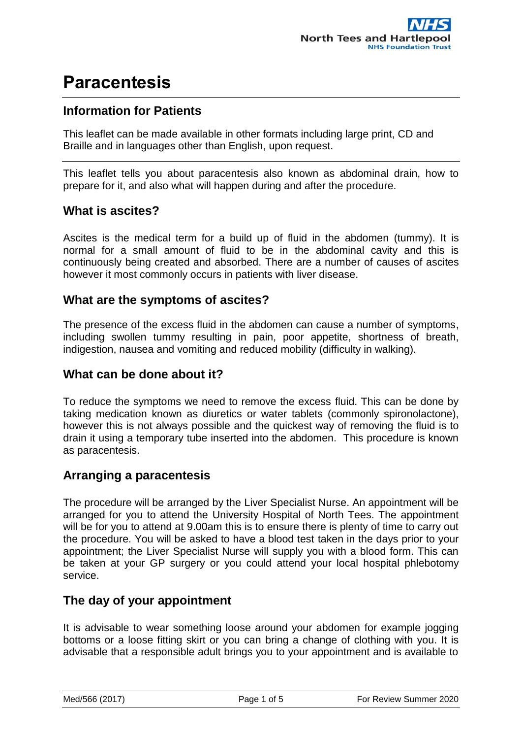## **Information for Patients**

This leaflet can be made available in other formats including large print, CD and Braille and in languages other than English, upon request.

This leaflet tells you about paracentesis also known as abdominal drain, how to prepare for it, and also what will happen during and after the procedure.

### **What is ascites?**

Ascites is the medical term for a build up of fluid in the abdomen (tummy). It is normal for a small amount of fluid to be in the abdominal cavity and this is continuously being created and absorbed. There are a number of causes of ascites however it most commonly occurs in patients with liver disease.

### **What are the symptoms of ascites?**

The presence of the excess fluid in the abdomen can cause a number of symptoms, including swollen tummy resulting in pain, poor appetite, shortness of breath, indigestion, nausea and vomiting and reduced mobility (difficulty in walking).

#### **What can be done about it?**

To reduce the symptoms we need to remove the excess fluid. This can be done by taking medication known as diuretics or water tablets (commonly spironolactone), however this is not always possible and the quickest way of removing the fluid is to drain it using a temporary tube inserted into the abdomen. This procedure is known as paracentesis.

### **Arranging a paracentesis**

The procedure will be arranged by the Liver Specialist Nurse. An appointment will be arranged for you to attend the University Hospital of North Tees. The appointment will be for you to attend at 9.00am this is to ensure there is plenty of time to carry out the procedure. You will be asked to have a blood test taken in the days prior to your appointment; the Liver Specialist Nurse will supply you with a blood form. This can be taken at your GP surgery or you could attend your local hospital phlebotomy service.

### **The day of your appointment**

It is advisable to wear something loose around your abdomen for example jogging bottoms or a loose fitting skirt or you can bring a change of clothing with you. It is advisable that a responsible adult brings you to your appointment and is available to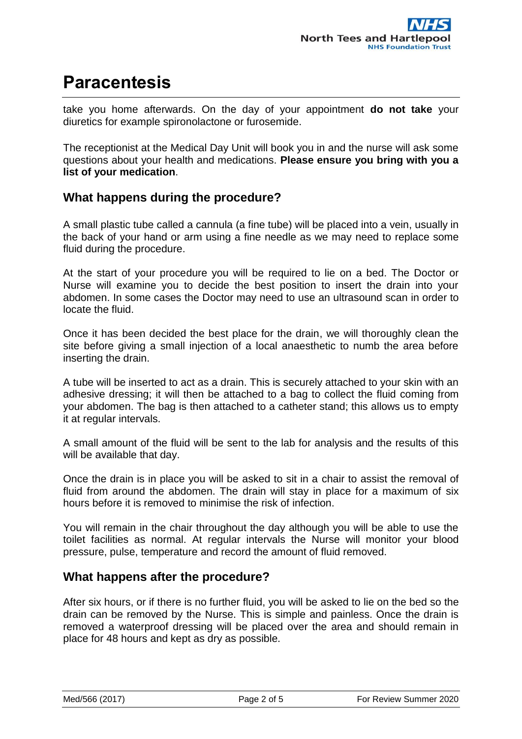take you home afterwards. On the day of your appointment **do not take** your diuretics for example spironolactone or furosemide.

The receptionist at the Medical Day Unit will book you in and the nurse will ask some questions about your health and medications. **Please ensure you bring with you a list of your medication**.

### **What happens during the procedure?**

A small plastic tube called a cannula (a fine tube) will be placed into a vein, usually in the back of your hand or arm using a fine needle as we may need to replace some fluid during the procedure.

At the start of your procedure you will be required to lie on a bed. The Doctor or Nurse will examine you to decide the best position to insert the drain into your abdomen. In some cases the Doctor may need to use an ultrasound scan in order to locate the fluid.

Once it has been decided the best place for the drain, we will thoroughly clean the site before giving a small injection of a local anaesthetic to numb the area before inserting the drain.

A tube will be inserted to act as a drain. This is securely attached to your skin with an adhesive dressing; it will then be attached to a bag to collect the fluid coming from your abdomen. The bag is then attached to a catheter stand; this allows us to empty it at regular intervals.

A small amount of the fluid will be sent to the lab for analysis and the results of this will be available that day.

Once the drain is in place you will be asked to sit in a chair to assist the removal of fluid from around the abdomen. The drain will stay in place for a maximum of six hours before it is removed to minimise the risk of infection.

You will remain in the chair throughout the day although you will be able to use the toilet facilities as normal. At regular intervals the Nurse will monitor your blood pressure, pulse, temperature and record the amount of fluid removed.

#### **What happens after the procedure?**

After six hours, or if there is no further fluid, you will be asked to lie on the bed so the drain can be removed by the Nurse. This is simple and painless. Once the drain is removed a waterproof dressing will be placed over the area and should remain in place for 48 hours and kept as dry as possible.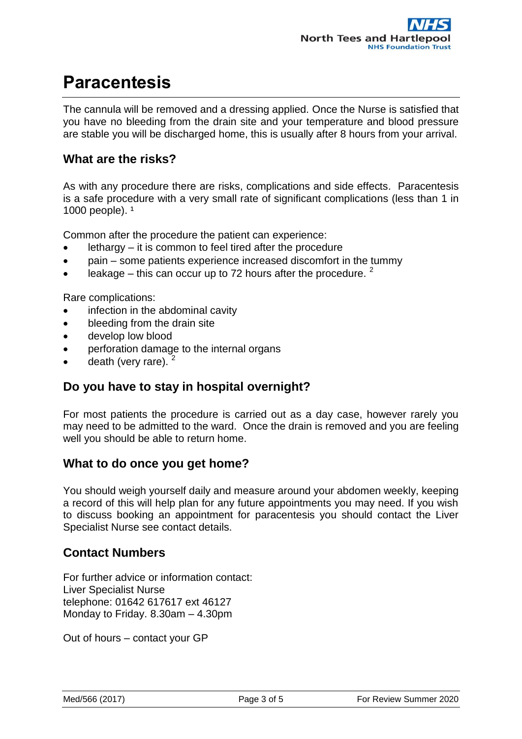The cannula will be removed and a dressing applied. Once the Nurse is satisfied that you have no bleeding from the drain site and your temperature and blood pressure are stable you will be discharged home, this is usually after 8 hours from your arrival.

### **What are the risks?**

As with any procedure there are risks, complications and side effects. Paracentesis is a safe procedure with a very small rate of significant complications (less than 1 in 1000 people).  $1$ 

Common after the procedure the patient can experience:

- lethargy it is common to feel tired after the procedure
- pain some patients experience increased discomfort in the tummy
- leakage this can occur up to 72 hours after the procedure.  $2^2$

Rare complications:

- infection in the abdominal cavity
- bleeding from the drain site
- develop low blood
- perforation damage to the internal organs
- death (very rare).<sup>2</sup>

### **Do you have to stay in hospital overnight?**

For most patients the procedure is carried out as a day case, however rarely you may need to be admitted to the ward. Once the drain is removed and you are feeling well you should be able to return home.

#### **What to do once you get home?**

You should weigh yourself daily and measure around your abdomen weekly, keeping a record of this will help plan for any future appointments you may need. If you wish to discuss booking an appointment for paracentesis you should contact the Liver Specialist Nurse see contact details.

### **Contact Numbers**

For further advice or information contact: Liver Specialist Nurse telephone: 01642 617617 ext 46127 Monday to Friday. 8.30am – 4.30pm

Out of hours – contact your GP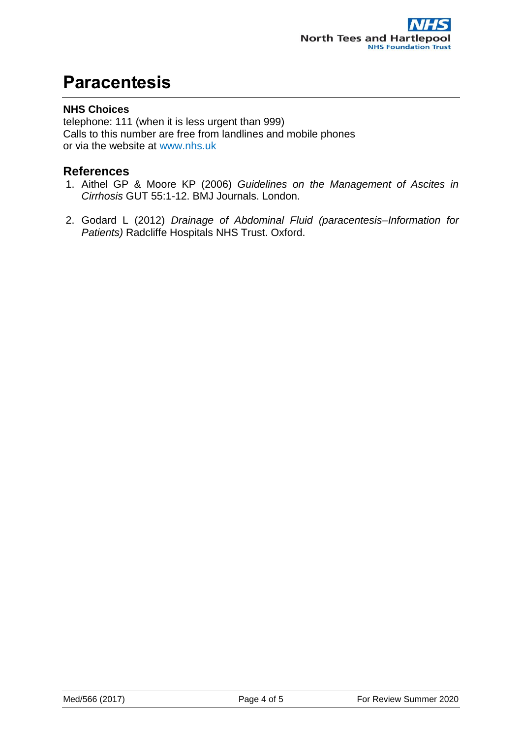#### **NHS Choices**

telephone: 111 (when it is less urgent than 999) Calls to this number are free from landlines and mobile phones or via the website at [www.nhs.uk](http://www.nhsdirect.nhs.uk/)

#### **References**

- 1. Aithel GP & Moore KP (2006) *Guidelines on the Management of Ascites in Cirrhosis* GUT 55:1-12. BMJ Journals. London.
- 2. Godard L (2012) *Drainage of Abdominal Fluid (paracentesis–Information for Patients)* Radcliffe Hospitals NHS Trust. Oxford.